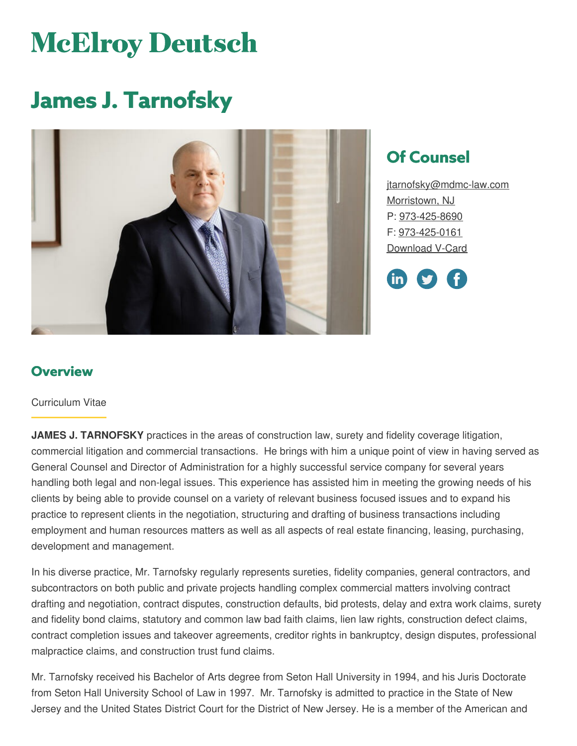# **McElroy Deutsch**

## **James J. Tarnofsky**



### **Of Counsel**

[jtarnofsky@mdmc-law.com](mailto:jtarnofsky@mdmc-law.com) [Morristown,](https://www.mdmc-law.com/offices/morristown) NJ P: [973-425-8690](tel:973-425-8690) F: [973-425-0161](tel:973-425-0161) [Download](https://www.mdmc-law.com/node/529/vcard) V-Card



#### **Overview**

#### Curriculum Vitae

**JAMES J. TARNOFSKY** practices in the areas of construction law, surety and fidelity coverage litigation, commercial litigation and commercial transactions. He brings with him a unique point of view in having served as General Counsel and Director of Administration for a highly successful service company for several years handling both legal and non-legal issues. This experience has assisted him in meeting the growing needs of his clients by being able to provide counsel on a variety of relevant business focused issues and to expand his practice to represent clients in the negotiation, structuring and drafting of business transactions including employment and human resources matters as well as all aspects of real estate financing, leasing, purchasing, development and management.

In his diverse practice, Mr. Tarnofsky regularly represents sureties, fidelity companies, general contractors, and subcontractors on both public and private projects handling complex commercial matters involving contract drafting and negotiation, contract disputes, construction defaults, bid protests, delay and extra work claims, surety and fidelity bond claims, statutory and common law bad faith claims, lien law rights, construction defect claims, contract completion issues and takeover agreements, creditor rights in bankruptcy, design disputes, professional malpractice claims, and construction trust fund claims.

Mr. Tarnofsky received his Bachelor of Arts degree from Seton Hall University in 1994, and his Juris Doctorate from Seton Hall University School of Law in 1997. Mr. Tarnofsky is admitted to practice in the State of New Jersey and the United States District Court for the District of New Jersey. He is a member of the American and